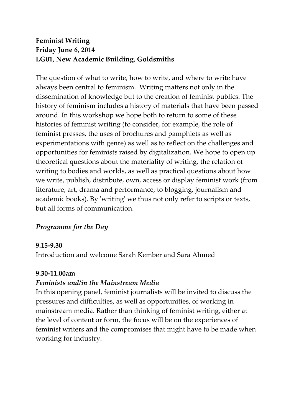# **Feminist Writing Friday June 6, 2014 LG01, New Academic Building, Goldsmiths**

The question of what to write, how to write, and where to write have always been central to feminism. Writing matters not only in the dissemination of knowledge but to the creation of feminist publics. The history of feminism includes a history of materials that have been passed around. In this workshop we hope both to return to some of these histories of feminist writing (to consider, for example, the role of feminist presses, the uses of brochures and pamphlets as well as experimentations with genre) as well as to reflect on the challenges and opportunities for feminists raised by digitalization. We hope to open up theoretical questions about the materiality of writing, the relation of writing to bodies and worlds, as well as practical questions about how we write, publish, distribute, own, access or display feminist work (from literature, art, drama and performance, to blogging, journalism and academic books). By 'writing' we thus not only refer to scripts or texts, but all forms of communication.

### *Programme for the Day*

#### **9.15-9.30**

Introduction and welcome Sarah Kember and Sara Ahmed

#### **9.30-11.00am**

### *Feminists and/in the Mainstream Media*

In this opening panel, feminist journalists will be invited to discuss the pressures and difficulties, as well as opportunities, of working in mainstream media. Rather than thinking of feminist writing, either at the level of content or form, the focus will be on the experiences of feminist writers and the compromises that might have to be made when working for industry.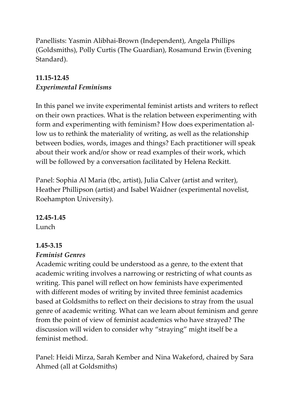Panellists: Yasmin Alibhai-Brown (Independent), Angela Phillips (Goldsmiths), Polly Curtis (The Guardian), Rosamund Erwin (Evening Standard).

# **11.15-12.45**  *Experimental Feminisms*

In this panel we invite experimental feminist artists and writers to reflect on their own practices. What is the relation between experimenting with form and experimenting with feminism? How does experimentation allow us to rethink the materiality of writing, as well as the relationship between bodies, words, images and things? Each practitioner will speak about their work and/or show or read examples of their work, which will be followed by a conversation facilitated by Helena Reckitt.

Panel: Sophia Al Maria (tbc, artist), Julia Calver (artist and writer), Heather Phillipson (artist) and Isabel Waidner (experimental novelist, Roehampton University).

### **12.45-1.45**

Lunch

### **1.45-3.15**

### *Feminist Genres*

Academic writing could be understood as a genre, to the extent that academic writing involves a narrowing or restricting of what counts as writing. This panel will reflect on how feminists have experimented with different modes of writing by invited three feminist academics based at Goldsmiths to reflect on their decisions to stray from the usual genre of academic writing. What can we learn about feminism and genre from the point of view of feminist academics who have strayed? The discussion will widen to consider why "straying" might itself be a feminist method.

Panel: Heidi Mirza, Sarah Kember and Nina Wakeford, chaired by Sara Ahmed (all at Goldsmiths)